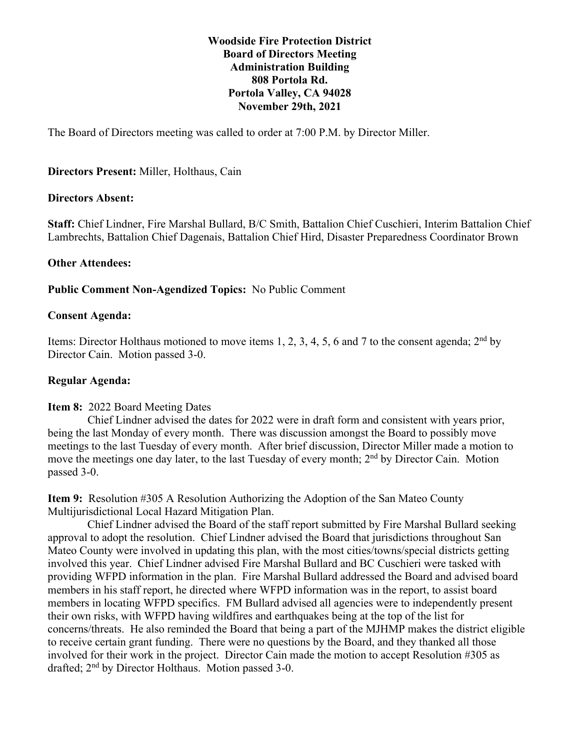## **Woodside Fire Protection District Board of Directors Meeting Administration Building 808 Portola Rd. Portola Valley, CA 94028 November 29th, 2021**

The Board of Directors meeting was called to order at 7:00 P.M. by Director Miller.

## **Directors Present:** Miller, Holthaus, Cain

#### **Directors Absent:**

**Staff:** Chief Lindner, Fire Marshal Bullard, B/C Smith, Battalion Chief Cuschieri, Interim Battalion Chief Lambrechts, Battalion Chief Dagenais, Battalion Chief Hird, Disaster Preparedness Coordinator Brown

### **Other Attendees:**

### **Public Comment Non-Agendized Topics:** No Public Comment

### **Consent Agenda:**

Items: Director Holthaus motioned to move items 1, 2, 3, 4, 5, 6 and 7 to the consent agenda;  $2<sup>nd</sup>$  by Director Cain. Motion passed 3-0.

## **Regular Agenda:**

#### **Item 8:** 2022 Board Meeting Dates

 Chief Lindner advised the dates for 2022 were in draft form and consistent with years prior, being the last Monday of every month. There was discussion amongst the Board to possibly move meetings to the last Tuesday of every month. After brief discussion, Director Miller made a motion to move the meetings one day later, to the last Tuesday of every month; 2<sup>nd</sup> by Director Cain. Motion passed 3-0.

**Item 9:** Resolution #305 A Resolution Authorizing the Adoption of the San Mateo County Multijurisdictional Local Hazard Mitigation Plan.

 Chief Lindner advised the Board of the staff report submitted by Fire Marshal Bullard seeking approval to adopt the resolution. Chief Lindner advised the Board that jurisdictions throughout San Mateo County were involved in updating this plan, with the most cities/towns/special districts getting involved this year. Chief Lindner advised Fire Marshal Bullard and BC Cuschieri were tasked with providing WFPD information in the plan. Fire Marshal Bullard addressed the Board and advised board members in his staff report, he directed where WFPD information was in the report, to assist board members in locating WFPD specifics. FM Bullard advised all agencies were to independently present their own risks, with WFPD having wildfires and earthquakes being at the top of the list for concerns/threats. He also reminded the Board that being a part of the MJHMP makes the district eligible to receive certain grant funding. There were no questions by the Board, and they thanked all those involved for their work in the project. Director Cain made the motion to accept Resolution #305 as drafted; 2nd by Director Holthaus. Motion passed 3-0.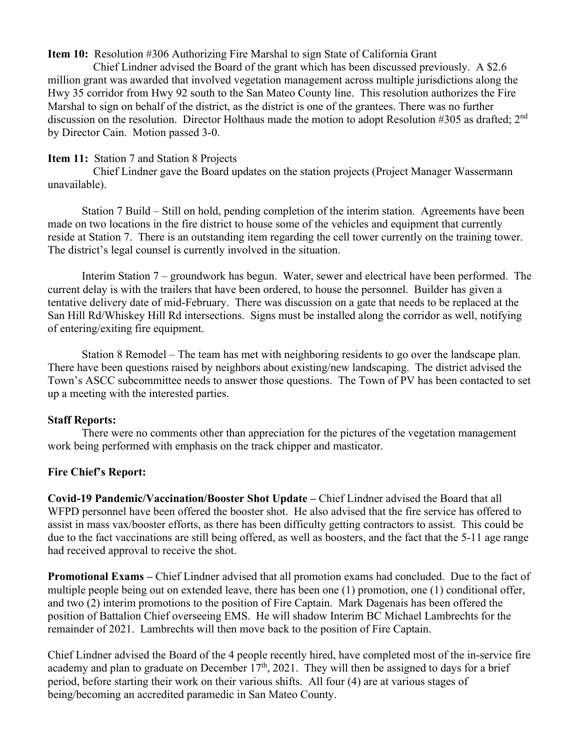### **Item 10:** Resolution #306 Authorizing Fire Marshal to sign State of California Grant

 Chief Lindner advised the Board of the grant which has been discussed previously. A \$2.6 million grant was awarded that involved vegetation management across multiple jurisdictions along the Hwy 35 corridor from Hwy 92 south to the San Mateo County line. This resolution authorizes the Fire Marshal to sign on behalf of the district, as the district is one of the grantees. There was no further discussion on the resolution. Director Holthaus made the motion to adopt Resolution #305 as drafted; 2nd by Director Cain. Motion passed 3-0.

## **Item 11:** Station 7 and Station 8 Projects

 Chief Lindner gave the Board updates on the station projects (Project Manager Wassermann unavailable).

 Station 7 Build – Still on hold, pending completion of the interim station. Agreements have been made on two locations in the fire district to house some of the vehicles and equipment that currently reside at Station 7. There is an outstanding item regarding the cell tower currently on the training tower. The district's legal counsel is currently involved in the situation.

 Interim Station 7 – groundwork has begun. Water, sewer and electrical have been performed. The current delay is with the trailers that have been ordered, to house the personnel. Builder has given a tentative delivery date of mid-February. There was discussion on a gate that needs to be replaced at the San Hill Rd/Whiskey Hill Rd intersections. Signs must be installed along the corridor as well, notifying of entering/exiting fire equipment.

Station 8 Remodel – The team has met with neighboring residents to go over the landscape plan. There have been questions raised by neighbors about existing/new landscaping. The district advised the Town's ASCC subcommittee needs to answer those questions. The Town of PV has been contacted to set up a meeting with the interested parties.

## **Staff Reports:**

 There were no comments other than appreciation for the pictures of the vegetation management work being performed with emphasis on the track chipper and masticator.

## **Fire Chief's Report:**

**Covid-19 Pandemic/Vaccination/Booster Shot Update –** Chief Lindner advised the Board that all WFPD personnel have been offered the booster shot. He also advised that the fire service has offered to assist in mass vax/booster efforts, as there has been difficulty getting contractors to assist. This could be due to the fact vaccinations are still being offered, as well as boosters, and the fact that the 5-11 age range had received approval to receive the shot.

**Promotional Exams –** Chief Lindner advised that all promotion exams had concluded. Due to the fact of multiple people being out on extended leave, there has been one (1) promotion, one (1) conditional offer, and two (2) interim promotions to the position of Fire Captain. Mark Dagenais has been offered the position of Battalion Chief overseeing EMS. He will shadow Interim BC Michael Lambrechts for the remainder of 2021. Lambrechts will then move back to the position of Fire Captain.

Chief Lindner advised the Board of the 4 people recently hired, have completed most of the in-service fire academy and plan to graduate on December  $17<sup>th</sup>$ , 2021. They will then be assigned to days for a brief period, before starting their work on their various shifts. All four (4) are at various stages of being/becoming an accredited paramedic in San Mateo County.